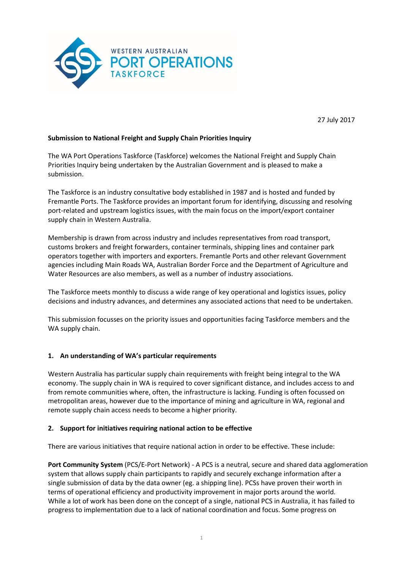

27 July 2017

## **Submission to National Freight and Supply Chain Priorities Inquiry**

The WA Port Operations Taskforce (Taskforce) welcomes the National Freight and Supply Chain Priorities Inquiry being undertaken by the Australian Government and is pleased to make a submission.

The Taskforce is an industry consultative body established in 1987 and is hosted and funded by Fremantle Ports. The Taskforce provides an important forum for identifying, discussing and resolving port-related and upstream logistics issues, with the main focus on the import/export container supply chain in Western Australia.

Membership is drawn from across industry and includes representatives from road transport, customs brokers and freight forwarders, container terminals, shipping lines and container park operators together with importers and exporters. Fremantle Ports and other relevant Government agencies including Main Roads WA, Australian Border Force and the Department of Agriculture and Water Resources are also members, as well as a number of industry associations.

The Taskforce meets monthly to discuss a wide range of key operational and logistics issues, policy decisions and industry advances, and determines any associated actions that need to be undertaken.

This submission focusses on the priority issues and opportunities facing Taskforce members and the WA supply chain.

### **1. An understanding of WA's particular requirements**

Western Australia has particular supply chain requirements with freight being integral to the WA economy. The supply chain in WA is required to cover significant distance, and includes access to and from remote communities where, often, the infrastructure is lacking. Funding is often focussed on metropolitan areas, however due to the importance of mining and agriculture in WA, regional and remote supply chain access needs to become a higher priority.

#### **2. Support for initiatives requiring national action to be effective**

There are various initiatives that require national action in order to be effective. These include:

**Port Community System** (PCS/E-Port Network) - A PCS is a neutral, secure and shared data agglomeration system that allows supply chain participants to rapidly and securely exchange information after a single submission of data by the data owner (eg. a shipping line). PCSs have proven their worth in terms of operational efficiency and productivity improvement in major ports around the world. While a lot of work has been done on the concept of a single, national PCS in Australia, it has failed to progress to implementation due to a lack of national coordination and focus. Some progress on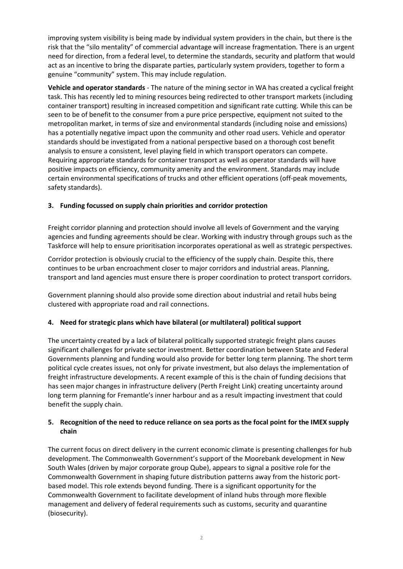improving system visibility is being made by individual system providers in the chain, but there is the risk that the "silo mentality" of commercial advantage will increase fragmentation. There is an urgent need for direction, from a federal level, to determine the standards, security and platform that would act as an incentive to bring the disparate parties, particularly system providers, together to form a genuine "community" system. This may include regulation.

**Vehicle and operator standards** - The nature of the mining sector in WA has created a cyclical freight task. This has recently led to mining resources being redirected to other transport markets (including container transport) resulting in increased competition and significant rate cutting. While this can be seen to be of benefit to the consumer from a pure price perspective, equipment not suited to the metropolitan market, in terms of size and environmental standards (including noise and emissions) has a potentially negative impact upon the community and other road users. Vehicle and operator standards should be investigated from a national perspective based on a thorough cost benefit analysis to ensure a consistent, level playing field in which transport operators can compete. Requiring appropriate standards for container transport as well as operator standards will have positive impacts on efficiency, community amenity and the environment. Standards may include certain environmental specifications of trucks and other efficient operations (off-peak movements, safety standards).

# **3. Funding focussed on supply chain priorities and corridor protection**

Freight corridor planning and protection should involve all levels of Government and the varying agencies and funding agreements should be clear. Working with industry through groups such as the Taskforce will help to ensure prioritisation incorporates operational as well as strategic perspectives.

Corridor protection is obviously crucial to the efficiency of the supply chain. Despite this, there continues to be urban encroachment closer to major corridors and industrial areas. Planning, transport and land agencies must ensure there is proper coordination to protect transport corridors.

Government planning should also provide some direction about industrial and retail hubs being clustered with appropriate road and rail connections.

### **4. Need for strategic plans which have bilateral (or multilateral) political support**

The uncertainty created by a lack of bilateral politically supported strategic freight plans causes significant challenges for private sector investment. Better coordination between State and Federal Governments planning and funding would also provide for better long term planning. The short term political cycle creates issues, not only for private investment, but also delays the implementation of freight infrastructure developments. A recent example of this is the chain of funding decisions that has seen major changes in infrastructure delivery (Perth Freight Link) creating uncertainty around long term planning for Fremantle's inner harbour and as a result impacting investment that could benefit the supply chain.

## **5. Recognition of the need to reduce reliance on sea ports as the focal point for the IMEX supply chain**

The current focus on direct delivery in the current economic climate is presenting challenges for hub development. The Commonwealth Government's support of the Moorebank development in New South Wales (driven by major corporate group Qube), appears to signal a positive role for the Commonwealth Government in shaping future distribution patterns away from the historic portbased model. This role extends beyond funding. There is a significant opportunity for the Commonwealth Government to facilitate development of inland hubs through more flexible management and delivery of federal requirements such as customs, security and quarantine (biosecurity).